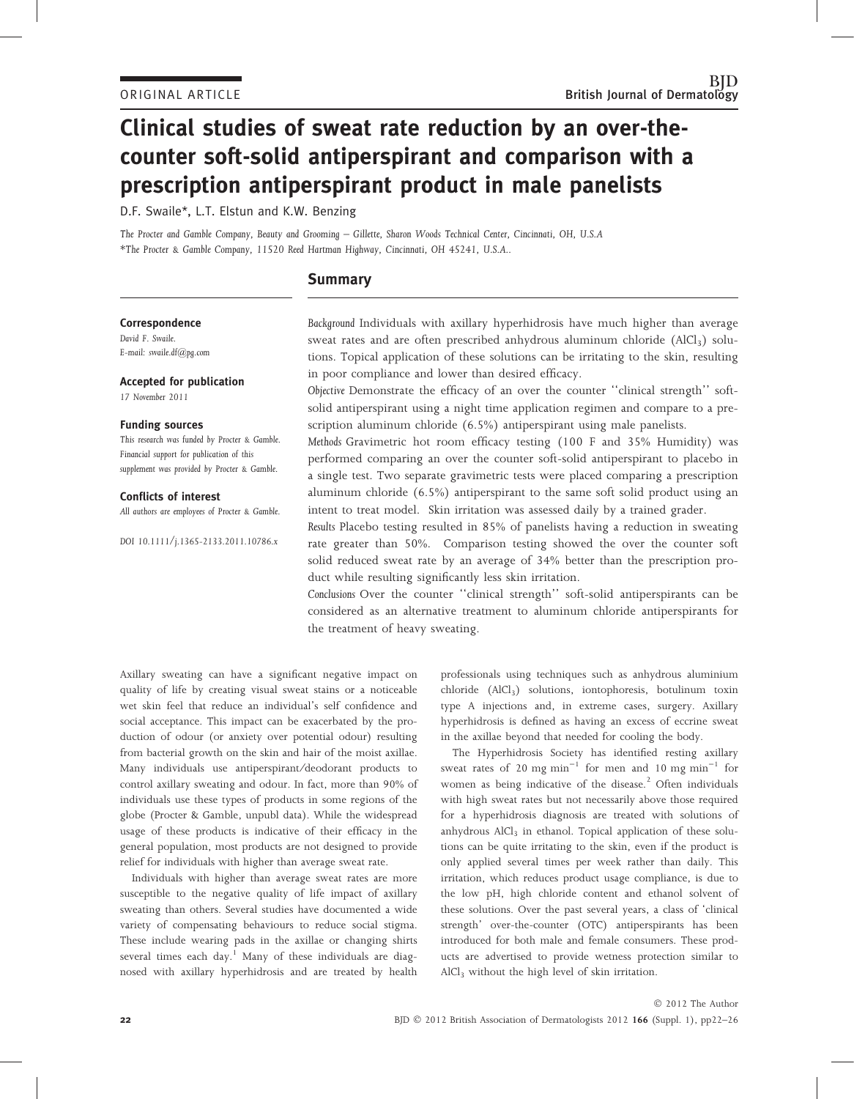# Clinical studies of sweat rate reduction by an over-thecounter soft-solid antiperspirant and comparison with a prescription antiperspirant product in male panelists

D.F. Swaile\*, L.T. Elstun and K.W. Benzing

The Procter and Gamble Company, Beauty and Grooming – Gillette, Sharon Woods Technical Center, Cincinnati, OH, U.S.A \*The Procter & Gamble Company, 11520 Reed Hartman Highway, Cincinnati, OH 45241, U.S.A..

# **Summary**

## Correspondence

David F. Swaile. E-mail: swaile.df@pg.com

#### Accepted for publication

17 November 2011

#### Funding sources

This research was funded by Procter & Gamble. Financial support for publication of this supplement was provided by Procter & Gamble.

#### Conflicts of interest

All authors are employees of Procter & Gamble.

DOI 10.1111/j.1365-2133.2011.10786.x

Background Individuals with axillary hyperhidrosis have much higher than average sweat rates and are often prescribed anhydrous aluminum chloride  $(AICI<sub>3</sub>)$  solutions. Topical application of these solutions can be irritating to the skin, resulting in poor compliance and lower than desired efficacy.

Objective Demonstrate the efficacy of an over the counter ''clinical strength'' softsolid antiperspirant using a night time application regimen and compare to a prescription aluminum chloride (6.5%) antiperspirant using male panelists.

Methods Gravimetric hot room efficacy testing (100 F and 35% Humidity) was performed comparing an over the counter soft-solid antiperspirant to placebo in a single test. Two separate gravimetric tests were placed comparing a prescription aluminum chloride (6.5%) antiperspirant to the same soft solid product using an intent to treat model. Skin irritation was assessed daily by a trained grader.

Results Placebo testing resulted in 85% of panelists having a reduction in sweating rate greater than 50%. Comparison testing showed the over the counter soft solid reduced sweat rate by an average of 34% better than the prescription product while resulting significantly less skin irritation.

Conclusions Over the counter ''clinical strength'' soft-solid antiperspirants can be considered as an alternative treatment to aluminum chloride antiperspirants for the treatment of heavy sweating.

Axillary sweating can have a significant negative impact on quality of life by creating visual sweat stains or a noticeable wet skin feel that reduce an individual's self confidence and social acceptance. This impact can be exacerbated by the production of odour (or anxiety over potential odour) resulting from bacterial growth on the skin and hair of the moist axillae. Many individuals use antiperspirant/deodorant products to control axillary sweating and odour. In fact, more than 90% of individuals use these types of products in some regions of the globe (Procter & Gamble, unpubl data). While the widespread usage of these products is indicative of their efficacy in the general population, most products are not designed to provide relief for individuals with higher than average sweat rate.

Individuals with higher than average sweat rates are more susceptible to the negative quality of life impact of axillary sweating than others. Several studies have documented a wide variety of compensating behaviours to reduce social stigma. These include wearing pads in the axillae or changing shirts several times each day.<sup>1</sup> Many of these individuals are diagnosed with axillary hyperhidrosis and are treated by health

professionals using techniques such as anhydrous aluminium chloride (AlCl3) solutions, iontophoresis, botulinum toxin type A injections and, in extreme cases, surgery. Axillary hyperhidrosis is defined as having an excess of eccrine sweat in the axillae beyond that needed for cooling the body.

The Hyperhidrosis Society has identified resting axillary sweat rates of 20 mg  $min^{-1}$  for men and 10 mg  $min^{-1}$  for women as being indicative of the disease.<sup>2</sup> Often individuals with high sweat rates but not necessarily above those required for a hyperhidrosis diagnosis are treated with solutions of anhydrous AlCl<sub>3</sub> in ethanol. Topical application of these solutions can be quite irritating to the skin, even if the product is only applied several times per week rather than daily. This irritation, which reduces product usage compliance, is due to the low pH, high chloride content and ethanol solvent of these solutions. Over the past several years, a class of 'clinical strength' over-the-counter (OTC) antiperspirants has been introduced for both male and female consumers. These products are advertised to provide wetness protection similar to AlCl<sub>3</sub> without the high level of skin irritation.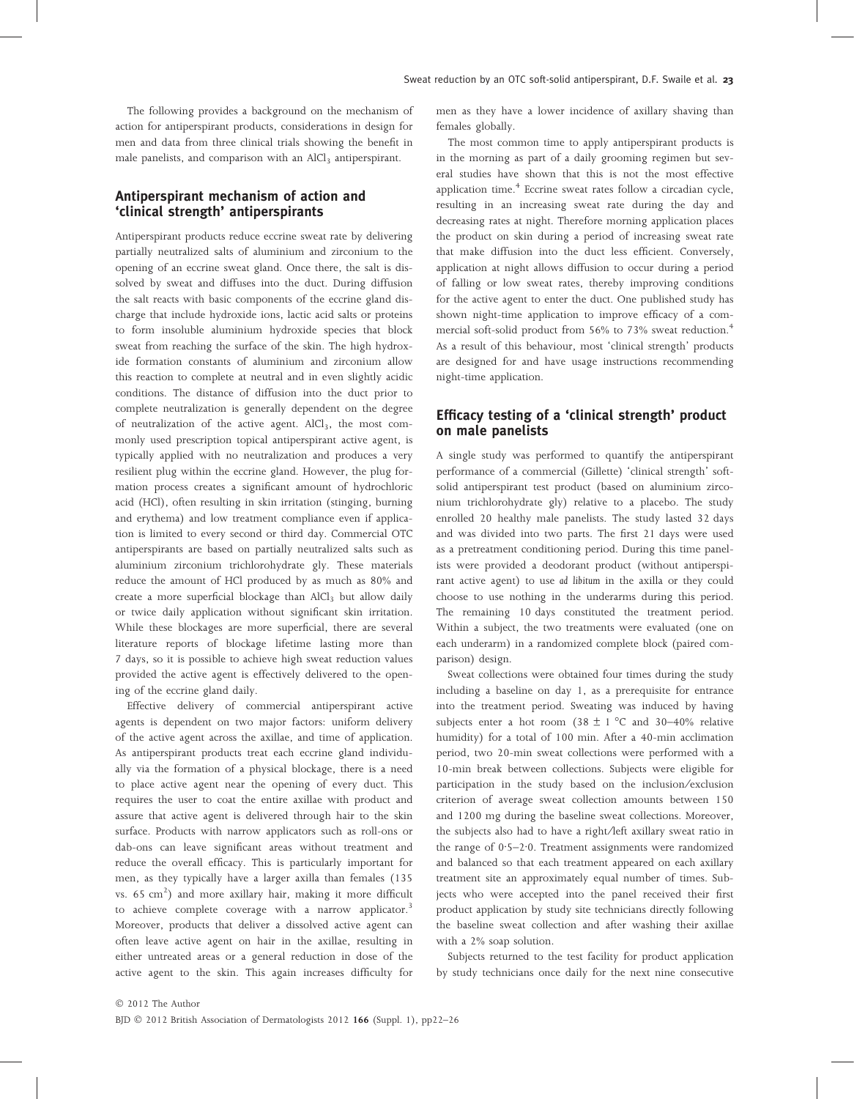The following provides a background on the mechanism of action for antiperspirant products, considerations in design for men and data from three clinical trials showing the benefit in male panelists, and comparison with an  $AICl<sub>3</sub>$  antiperspirant.

# Antiperspirant mechanism of action and 'clinical strength' antiperspirants

Antiperspirant products reduce eccrine sweat rate by delivering partially neutralized salts of aluminium and zirconium to the opening of an eccrine sweat gland. Once there, the salt is dissolved by sweat and diffuses into the duct. During diffusion the salt reacts with basic components of the eccrine gland discharge that include hydroxide ions, lactic acid salts or proteins to form insoluble aluminium hydroxide species that block sweat from reaching the surface of the skin. The high hydroxide formation constants of aluminium and zirconium allow this reaction to complete at neutral and in even slightly acidic conditions. The distance of diffusion into the duct prior to complete neutralization is generally dependent on the degree of neutralization of the active agent. AlCl<sub>3</sub>, the most commonly used prescription topical antiperspirant active agent, is typically applied with no neutralization and produces a very resilient plug within the eccrine gland. However, the plug formation process creates a significant amount of hydrochloric acid (HCl), often resulting in skin irritation (stinging, burning and erythema) and low treatment compliance even if application is limited to every second or third day. Commercial OTC antiperspirants are based on partially neutralized salts such as aluminium zirconium trichlorohydrate gly. These materials reduce the amount of HCl produced by as much as 80% and create a more superficial blockage than  $AICI_3$  but allow daily or twice daily application without significant skin irritation. While these blockages are more superficial, there are several literature reports of blockage lifetime lasting more than 7 days, so it is possible to achieve high sweat reduction values provided the active agent is effectively delivered to the opening of the eccrine gland daily.

Effective delivery of commercial antiperspirant active agents is dependent on two major factors: uniform delivery of the active agent across the axillae, and time of application. As antiperspirant products treat each eccrine gland individually via the formation of a physical blockage, there is a need to place active agent near the opening of every duct. This requires the user to coat the entire axillae with product and assure that active agent is delivered through hair to the skin surface. Products with narrow applicators such as roll-ons or dab-ons can leave significant areas without treatment and reduce the overall efficacy. This is particularly important for men, as they typically have a larger axilla than females (135 vs.  $65 \text{ cm}^2$ ) and more axillary hair, making it more difficult to achieve complete coverage with a narrow applicator.<sup>3</sup> Moreover, products that deliver a dissolved active agent can often leave active agent on hair in the axillae, resulting in either untreated areas or a general reduction in dose of the active agent to the skin. This again increases difficulty for

men as they have a lower incidence of axillary shaving than females globally.

The most common time to apply antiperspirant products is in the morning as part of a daily grooming regimen but several studies have shown that this is not the most effective application time.<sup>4</sup> Eccrine sweat rates follow a circadian cycle, resulting in an increasing sweat rate during the day and decreasing rates at night. Therefore morning application places the product on skin during a period of increasing sweat rate that make diffusion into the duct less efficient. Conversely, application at night allows diffusion to occur during a period of falling or low sweat rates, thereby improving conditions for the active agent to enter the duct. One published study has shown night-time application to improve efficacy of a commercial soft-solid product from 56% to 73% sweat reduction.<sup>4</sup> As a result of this behaviour, most 'clinical strength' products are designed for and have usage instructions recommending night-time application.

## Efficacy testing of a 'clinical strength' product on male panelists

A single study was performed to quantify the antiperspirant performance of a commercial (Gillette) 'clinical strength' softsolid antiperspirant test product (based on aluminium zirconium trichlorohydrate gly) relative to a placebo. The study enrolled 20 healthy male panelists. The study lasted 32 days and was divided into two parts. The first 21 days were used as a pretreatment conditioning period. During this time panelists were provided a deodorant product (without antiperspirant active agent) to use ad libitum in the axilla or they could choose to use nothing in the underarms during this period. The remaining 10 days constituted the treatment period. Within a subject, the two treatments were evaluated (one on each underarm) in a randomized complete block (paired comparison) design.

Sweat collections were obtained four times during the study including a baseline on day 1, as a prerequisite for entrance into the treatment period. Sweating was induced by having subjects enter a hot room (38  $\pm$  1 °C and 30–40% relative humidity) for a total of 100 min. After a 40-min acclimation period, two 20-min sweat collections were performed with a 10-min break between collections. Subjects were eligible for participation in the study based on the inclusion ⁄exclusion criterion of average sweat collection amounts between 150 and 1200 mg during the baseline sweat collections. Moreover, the subjects also had to have a right ⁄left axillary sweat ratio in the range of  $0.5-2.0$ . Treatment assignments were randomized and balanced so that each treatment appeared on each axillary treatment site an approximately equal number of times. Subjects who were accepted into the panel received their first product application by study site technicians directly following the baseline sweat collection and after washing their axillae with a 2% soap solution.

Subjects returned to the test facility for product application by study technicians once daily for the next nine consecutive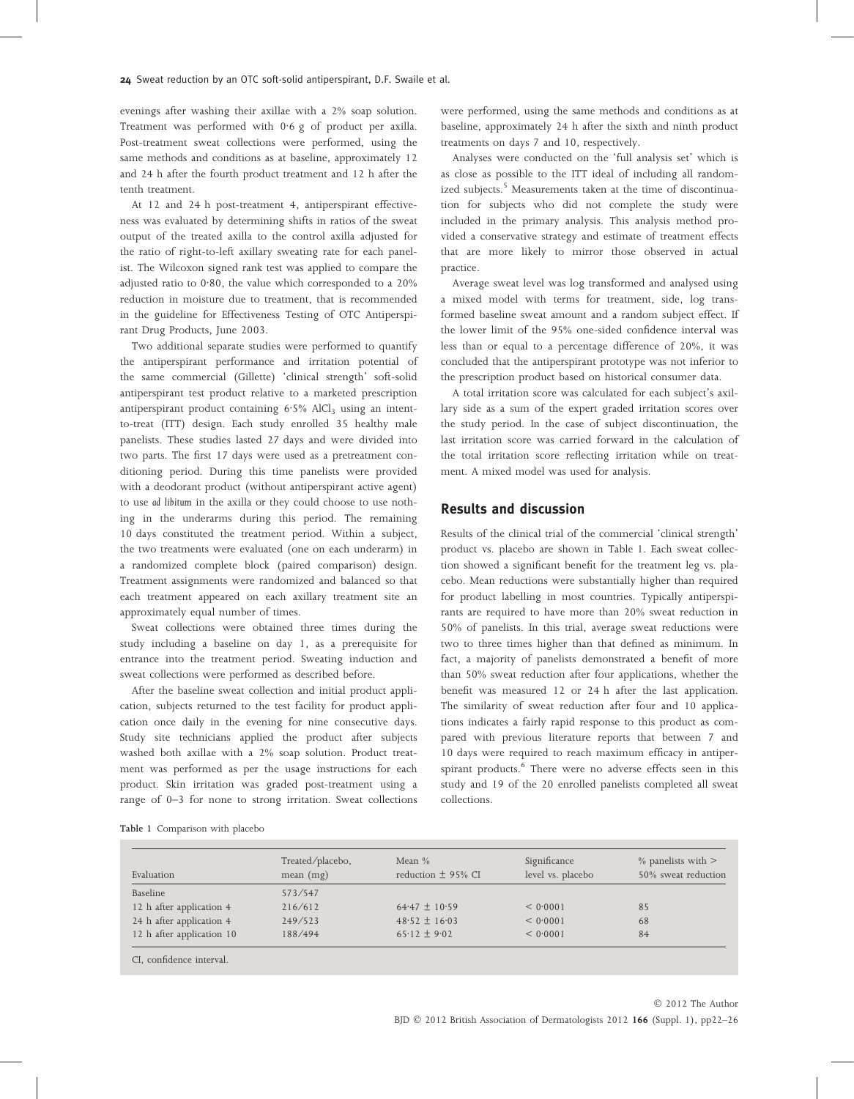evenings after washing their axillae with a 2% soap solution. Treatment was performed with  $0.6$  g of product per axilla. Post-treatment sweat collections were performed, using the same methods and conditions as at baseline, approximately 12 and 24 h after the fourth product treatment and 12 h after the tenth treatment.

At 12 and 24 h post-treatment 4, antiperspirant effectiveness was evaluated by determining shifts in ratios of the sweat output of the treated axilla to the control axilla adjusted for the ratio of right-to-left axillary sweating rate for each panelist. The Wilcoxon signed rank test was applied to compare the adjusted ratio to  $0.80$ , the value which corresponded to a  $20\%$ reduction in moisture due to treatment, that is recommended in the guideline for Effectiveness Testing of OTC Antiperspirant Drug Products, June 2003.

Two additional separate studies were performed to quantify the antiperspirant performance and irritation potential of the same commercial (Gillette) 'clinical strength' soft-solid antiperspirant test product relative to a marketed prescription antiperspirant product containing  $6.5\%$  AlCl<sub>3</sub> using an intentto-treat (ITT) design. Each study enrolled 35 healthy male panelists. These studies lasted 27 days and were divided into two parts. The first 17 days were used as a pretreatment conditioning period. During this time panelists were provided with a deodorant product (without antiperspirant active agent) to use ad libitum in the axilla or they could choose to use nothing in the underarms during this period. The remaining 10 days constituted the treatment period. Within a subject, the two treatments were evaluated (one on each underarm) in a randomized complete block (paired comparison) design. Treatment assignments were randomized and balanced so that each treatment appeared on each axillary treatment site an approximately equal number of times.

Sweat collections were obtained three times during the study including a baseline on day 1, as a prerequisite for entrance into the treatment period. Sweating induction and sweat collections were performed as described before.

After the baseline sweat collection and initial product application, subjects returned to the test facility for product application once daily in the evening for nine consecutive days. Study site technicians applied the product after subjects washed both axillae with a 2% soap solution. Product treatment was performed as per the usage instructions for each product. Skin irritation was graded post-treatment using a range of 0–3 for none to strong irritation. Sweat collections

were performed, using the same methods and conditions as at baseline, approximately 24 h after the sixth and ninth product treatments on days 7 and 10, respectively.

Analyses were conducted on the 'full analysis set' which is as close as possible to the ITT ideal of including all randomized subjects.<sup>5</sup> Measurements taken at the time of discontinuation for subjects who did not complete the study were included in the primary analysis. This analysis method provided a conservative strategy and estimate of treatment effects that are more likely to mirror those observed in actual practice.

Average sweat level was log transformed and analysed using a mixed model with terms for treatment, side, log transformed baseline sweat amount and a random subject effect. If the lower limit of the 95% one-sided confidence interval was less than or equal to a percentage difference of 20%, it was concluded that the antiperspirant prototype was not inferior to the prescription product based on historical consumer data.

A total irritation score was calculated for each subject's axillary side as a sum of the expert graded irritation scores over the study period. In the case of subject discontinuation, the last irritation score was carried forward in the calculation of the total irritation score reflecting irritation while on treatment. A mixed model was used for analysis.

## Results and discussion

Results of the clinical trial of the commercial 'clinical strength' product vs. placebo are shown in Table 1. Each sweat collection showed a significant benefit for the treatment leg vs. placebo. Mean reductions were substantially higher than required for product labelling in most countries. Typically antiperspirants are required to have more than 20% sweat reduction in 50% of panelists. In this trial, average sweat reductions were two to three times higher than that defined as minimum. In fact, a majority of panelists demonstrated a benefit of more than 50% sweat reduction after four applications, whether the benefit was measured 12 or 24 h after the last application. The similarity of sweat reduction after four and 10 applications indicates a fairly rapid response to this product as compared with previous literature reports that between 7 and 10 days were required to reach maximum efficacy in antiperspirant products.<sup>6</sup> There were no adverse effects seen in this study and 19 of the 20 enrolled panelists completed all sweat collections.

Table 1 Comparison with placebo

| Evaluation                | Treated/placebo,<br>mean $(mg)$ | Mean %<br>reduction $\pm$ 95% CI | Significance<br>level vs. placebo | $\%$ panelists with $>$<br>50% sweat reduction |
|---------------------------|---------------------------------|----------------------------------|-----------------------------------|------------------------------------------------|
| Baseline                  | 573/547                         |                                  |                                   |                                                |
| 12 h after application 4  | 216/612                         | $64.47 \pm 10.59$                | < 0.0001                          | 85                                             |
| 24 h after application 4  | 249/523                         | $48.52 \pm 16.03$                | < 0.0001                          | 68                                             |
| 12 h after application 10 | 188/494                         | $65.12 \pm 9.02$                 | < 0.0001                          | 84                                             |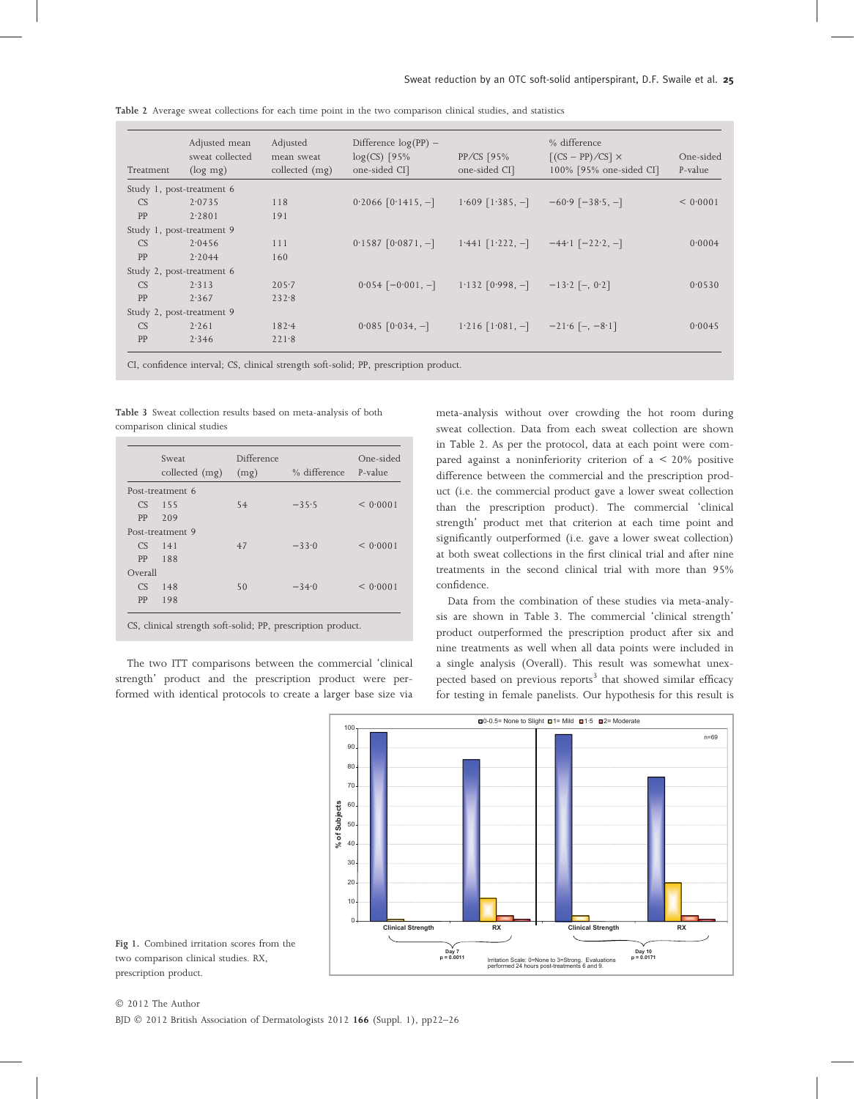Table 2 Average sweat collections for each time point in the two comparison clinical studies, and statistics

| Treatment | Adjusted mean<br>sweat collected<br>$(\log mg)$ | Adjusted<br>mean sweat<br>collected (mg) | Difference $log(PP)$ –<br>$log(CS)$ [95%<br>one-sided CI] | PP/CS [95%<br>one-sided CI]                                      | % difference<br>$[(CS - PP)/CS] \times$<br>100% [95% one-sided CI] | One-sided<br>P-value |
|-----------|-------------------------------------------------|------------------------------------------|-----------------------------------------------------------|------------------------------------------------------------------|--------------------------------------------------------------------|----------------------|
|           | Study 1, post-treatment 6                       |                                          |                                                           |                                                                  |                                                                    |                      |
| CS        | 2.0735                                          | 118                                      | $0.2066$ [ $0.1415$ , -]                                  | $1.609$ [1.385, -]                                               | $-60.9$ [-38.5, -]                                                 | < 0.0001             |
| PP        | 2.2801                                          | 191                                      |                                                           |                                                                  |                                                                    |                      |
|           | Study 1, post-treatment 9                       |                                          |                                                           |                                                                  |                                                                    |                      |
| CS        | 2.0456                                          | 111                                      | $0.1587$ [0.0871, -]                                      | $1.441$ $[1.222, -]$                                             | $-44.1$ [-22.2, -]                                                 | 0.0004               |
| PP        | 2.2044                                          | 160                                      |                                                           |                                                                  |                                                                    |                      |
|           | Study 2, post-treatment 6                       |                                          |                                                           |                                                                  |                                                                    |                      |
| CS        | 2.313                                           | $205 - 7$                                | $0.054$ [ $-0.001$ , $-$ ]                                | $1.132$ [0.998, -] $-13.2$ [-, 0.2]                              |                                                                    | 0.0530               |
| PP        | 2.367                                           | 232.8                                    |                                                           |                                                                  |                                                                    |                      |
|           | Study 2, post-treatment 9                       |                                          |                                                           |                                                                  |                                                                    |                      |
| CS        | 2.261                                           | $182 - 4$                                | $0.085$ $[0.034, -]$                                      | $1.216$ $\lceil 1.081, -1 \rceil$ $-21.6$ $\lceil -,-8.1 \rceil$ |                                                                    | 0.0045               |
| PP        | 2.346                                           | 221.8                                    |                                                           |                                                                  |                                                                    |                      |

Table 3 Sweat collection results based on meta-analysis of both comparison clinical studies

|                | Sweat<br>collected (mg) | Difference<br>(mg) | % difference | One-sided<br>P-value |
|----------------|-------------------------|--------------------|--------------|----------------------|
|                | Post-treatment 6        |                    |              |                      |
| CS             | 1.5.5                   | 54                 | $-3.5.5$     | < 0.0001             |
| PP             | 209                     |                    |              |                      |
|                | Post-treatment 9        |                    |              |                      |
| C <sub>S</sub> | 141                     | 47                 | $-33.0$      | < 0.0001             |
| PP             | 188                     |                    |              |                      |
| Overall        |                         |                    |              |                      |
| CS             | 148                     | 50                 | $-34.0$      | < 0.0001             |
| <b>PP</b>      | 198                     |                    |              |                      |

CS, clinical strength soft-solid; PP, prescription product.

The two ITT comparisons between the commercial 'clinical strength' product and the prescription product were performed with identical protocols to create a larger base size via meta-analysis without over crowding the hot room during sweat collection. Data from each sweat collection are shown in Table 2. As per the protocol, data at each point were compared against a noninferiority criterion of a < 20% positive difference between the commercial and the prescription product (i.e. the commercial product gave a lower sweat collection than the prescription product). The commercial 'clinical strength' product met that criterion at each time point and significantly outperformed (i.e. gave a lower sweat collection) at both sweat collections in the first clinical trial and after nine treatments in the second clinical trial with more than 95% confidence.

Data from the combination of these studies via meta-analysis are shown in Table 3. The commercial 'clinical strength' product outperformed the prescription product after six and nine treatments as well when all data points were included in a single analysis (Overall). This result was somewhat unexpected based on previous reports<sup>3</sup> that showed similar efficacy for testing in female panelists. Our hypothesis for this result is



Fig 1. Combined irritation scores from the two comparison clinical studies. RX, prescription product.